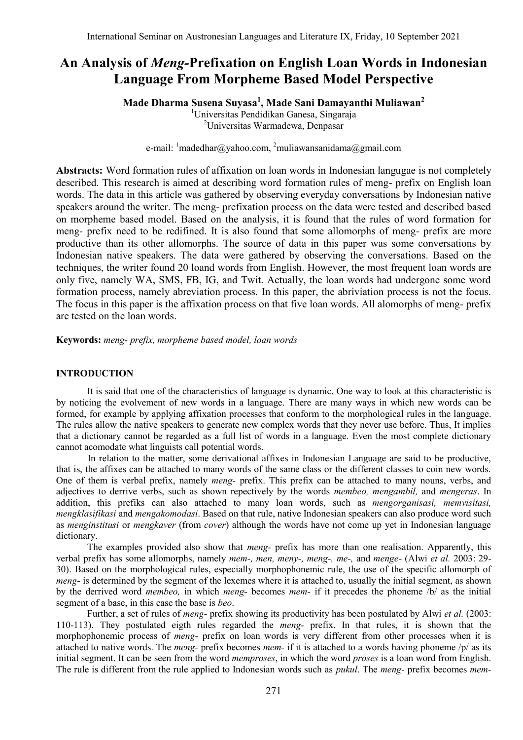# **An Analysis of** *Meng-***Prefixation on English Loan Words in Indonesian Language From Morpheme Based Model Perspective**

**Made Dharma Susena Suyasa<sup>1</sup> , Made Sani Damayanthi Muliawan<sup>2</sup>**

<sup>1</sup>Universitas Pendidikan Ganesa, Singaraja <sup>2</sup>Universitas Warmadewa, Denpasar

e-mail: <sup>1</sup>[madedhar@yahoo.com,](mailto:madedhar@yahoo.com) <sup>2</sup>[muliawansanidama@gmail.com](mailto:muliawansanidama@gmail.com)

**Abstracts:** Word formation rules of affixation on loan words in Indonesian langugae is not completely described. This research is aimed at describing word formation rules of meng- prefix on English loan words. The data in this article was gathered by observing everyday conversations by Indonesian native speakers around the writer. The meng- prefixation process on the data were tested and described based on morpheme based model. Based on the analysis, it is found that the rules of word formation for meng- prefix need to be redifined. It is also found that some allomorphs of meng- prefix are more productive than its other allomorphs. The source of data in this paper was some conversations by Indonesian native speakers. The data were gathered by observing the conversations. Based on the techniques, the writer found 20 loand words from English. However, the most frequent loan words are only five, namely WA, SMS, FB, IG, and Twit. Actually, the loan words had undergone some word formation process, namely abreviation process. In this paper, the abriviation process is not the focus. The focus in this paper is the affixation process on that five loan words. All alomorphs of meng- prefix are tested on the loan words.

**Keywords:** *meng- prefix, morpheme based model, loan words*

## **INTRODUCTION**

It is said that one of the characteristics of language is dynamic. One way to look at this characteristic is by noticing the evolvement of new words in a language. There are many ways in which new words can be formed, for example by applying affixation processes that conform to the morphological rules in the language. The rules allow the native speakers to generate new complex words that they never use before. Thus, It implies that a dictionary cannot be regarded as a full list of words in a language. Even the most complete dictionary cannot acomodate what linguists call potential words.

In relation to the matter, some derivational affixes in Indonesian Language are said to be productive, that is, the affixes can be attached to many words of the same class or the different classes to coin new words. One of them is verbal prefix, namely *meng-* prefix. This prefix can be attached to many nouns, verbs, and adjectives to derrive verbs, such as shown repectively by the words *membeo, mengambil,* and *mengeras*. In addition, this prefiks can also attached to many loan words, such as *mengorganisasi, memvisitasi, mengklasifikasi* and *mengakomodasi*. Based on that rule, native Indonesian speakers can also produce word such as *menginstitusi* or *mengkaver* (from *cover*) although the words have not come up yet in Indonesian language dictionary.

The examples provided also show that *meng-* prefix has more than one realisation. Apparently, this verbal prefix has some allomorphs, namely *mem-, men, meny-, meng-, me-,* and *menge-* (Alwi *et al.* 2003: 29- 30). Based on the morphological rules, especially morphophonemic rule, the use of the specific allomorph of *meng-* is determined by the segment of the lexemes where it is attached to, usually the initial segment, as shown by the derrived word *membeo,* in which *meng-* becomes *mem-* if it precedes the phoneme /b/ as the initial segment of a base, in this case the base is *beo*.

Further, a set of rules of *meng-* prefix showing its productivity has been postulated by Alwi *et al.* (2003: 110-113). They postulated eigth rules regarded the *meng-* prefix. In that rules, it is shown that the morphophonemic process of *meng-* prefix on loan words is very different from other processes when it is attached to native words. The *meng-* prefix becomes *mem-* if it is attached to a words having phoneme /p/ as its initial segment. It can be seen from the word *memproses*, in which the word *proses* is a loan word from English. The rule is different from the rule applied to Indonesian words such as *pukul*. The *meng-* prefix becomes *mem-*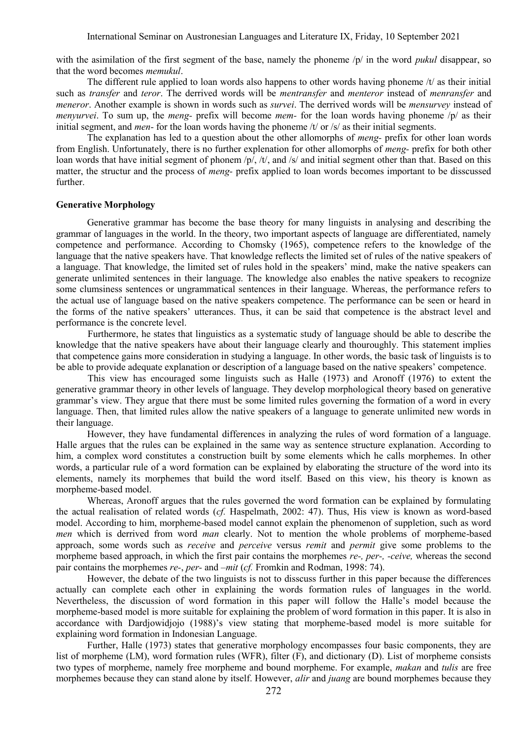with the asimilation of the first segment of the base, namely the phoneme /p/ in the word *pukul* disappear, so that the word becomes *memukul*.

The different rule applied to loan words also happens to other words having phoneme  $/t$  as their initial such as *transfer* and *teror*. The derrived words will be *mentransfer* and *menteror* instead of *menransfer* and *meneror*. Another example is shown in words such as *survei*. The derrived words will be *mensurvey* instead of *menyurvei*. To sum up, the *meng-* prefix will become *mem-* for the loan words having phoneme /p/ as their initial segment, and *men-* for the loan words having the phoneme /t/ or /s/ as their initial segments.

The explanation has led to a question about the other allomorphs of *meng-* prefix for other loan words from English. Unfortunately, there is no further explenation for other allomorphs of *meng-* prefix for both other loan words that have initial segment of phonem /p/, /t/, and /s/ and initial segment other than that. Based on this matter, the structur and the process of *meng-* prefix applied to loan words becomes important to be disscussed further.

#### **Generative Morphology**

Generative grammar has become the base theory for many linguists in analysing and describing the grammar of languages in the world. In the theory, two important aspects of language are differentiated, namely competence and performance. According to Chomsky (1965), competence refers to the knowledge of the language that the native speakers have. That knowledge reflects the limited set of rules of the native speakers of a language. That knowledge, the limited set of rules hold in the speakers' mind, make the native speakers can generate unlimited sentences in their language. The knowledge also enables the native speakers to recognize some clumsiness sentences or ungrammatical sentences in their language. Whereas, the performance refers to the actual use of language based on the native speakers competence. The performance can be seen or heard in the forms of the native speakers' utterances. Thus, it can be said that competence is the abstract level and performance is the concrete level.

Furthermore, he states that linguistics as a systematic study of language should be able to describe the knowledge that the native speakers have about their language clearly and thouroughly. This statement implies that competence gains more consideration in studying a language. In other words, the basic task of linguists is to be able to provide adequate explanation or description of a language based on the native speakers' competence.

This view has encouraged some linguists such as Halle (1973) and Aronoff (1976) to extent the generative grammar theory in other levels of language. They develop morphological theory based on generative grammar's view. They argue that there must be some limited rules governing the formation of a word in every language. Then, that limited rules allow the native speakers of a language to generate unlimited new words in their language.

However, they have fundamental differences in analyzing the rules of word formation of a language. Halle argues that the rules can be explained in the same way as sentence structure explanation. According to him, a complex word constitutes a construction built by some elements which he calls morphemes. In other words, a particular rule of a word formation can be explained by elaborating the structure of the word into its elements, namely its morphemes that build the word itself. Based on this view, his theory is known as morpheme-based model.

Whereas, Aronoff argues that the rules governed the word formation can be explained by formulating the actual realisation of related words (*cf.* Haspelmath, 2002: 47). Thus, His view is known as word-based model. According to him, morpheme-based model cannot explain the phenomenon of suppletion, such as word *men* which is derrived from word *man* clearly. Not to mention the whole problems of morpheme-based approach, some words such as *receive* and *perceive* versus *remit* and *permit* give some problems to the morpheme based approach, in which the first pair contains the morphemes *re-, per-, -ceive,* whereas the second pair contains the morphemes *re-*, *per-* and *–mit* (*cf.* Fromkin and Rodman, 1998: 74).

However, the debate of the two linguists is not to disscuss further in this paper because the differences actually can complete each other in explaining the words formation rules of languages in the world. Nevertheless, the discussion of word formation in this paper will follow the Halle's model because the morpheme-based model is more suitable for explaining the problem of word formation in this paper. It is also in accordance with Dardjowidjojo (1988)'s view stating that morpheme-based model is more suitable for explaining word formation in Indonesian Language.

Further, Halle (1973) states that generative morphology encompasses four basic components, they are list of morpheme (LM), word formation rules (WFR), filter (F), and dictionary (D). List of morpheme consists two types of morpheme, namely free morpheme and bound morpheme. For example, *makan* and *tulis* are free morphemes because they can stand alone by itself. However, *alir* and *juang* are bound morphemes because they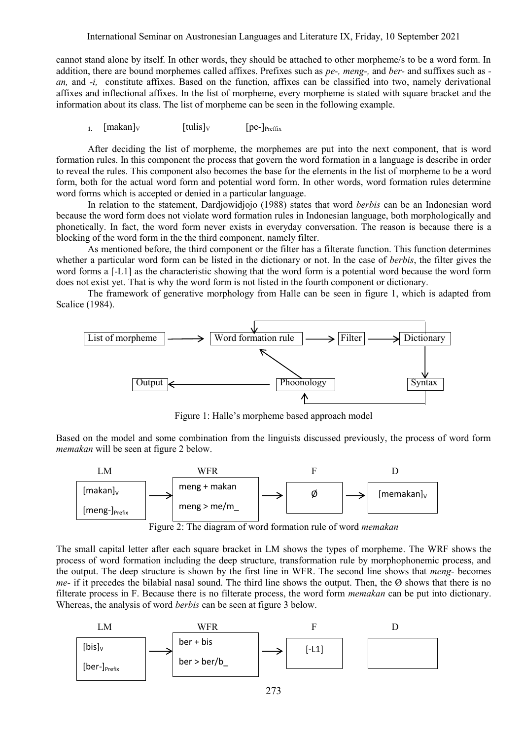International Seminar on Austronesian Languages and Literature IX, Friday, 10 September 2021

cannot stand alone by itself. In other words, they should be attached to other morpheme/s to be a word form. In addition, there are bound morphemes called affixes. Prefixes such as *pe-, meng-,* and *ber-* and suffixes such as  *an,* and *-i,* constitute affixes. Based on the function, affixes can be classified into two, namely derivational affixes and inflectional affixes. In the list of morpheme, every morpheme is stated with square bracket and the information about its class. The list of morpheme can be seen in the following example.

**1.**  $\left[\text{makan}\right]_V$   $\left[\text{tulis}\right]_V$   $\left[\text{pe-}\right]_{\text{Prefix}}$ 

After deciding the list of morpheme, the morphemes are put into the next component, that is word formation rules. In this component the process that govern the word formation in a language is describe in order to reveal the rules. This component also becomes the base for the elements in the list of morpheme to be a word form, both for the actual word form and potential word form. In other words, word formation rules determine word forms which is accepted or denied in a particular language.

In relation to the statement, Dardjowidjojo (1988) states that word *berbis* can be an Indonesian word because the word form does not violate word formation rules in Indonesian language, both morphologically and phonetically. In fact, the word form never exists in everyday conversation. The reason is because there is a blocking of the word form in the the third component, namely filter.

As mentioned before, the third component or the filter has a filterate function. This function determines whether a particular word form can be listed in the dictionary or not. In the case of *berbis*, the filter gives the word forms a [-L1] as the characteristic showing that the word form is a potential word because the word form does not exist yet. That is why the word form is not listed in the fourth component or dictionary.

The framework of generative morphology from Halle can be seen in figure 1, which is adapted from Scalice (1984).



Figure 1: Halle's morpheme based approach model

Based on the model and some combination from the linguists discussed previously, the process of word form *memakan* will be seen at figure 2 below.



Figure 2: The diagram of word formation rule of word *memakan* 

The small capital letter after each square bracket in LM shows the types of morpheme. The WRF shows the process of word formation including the deep structure, transformation rule by morphophonemic process, and the output. The deep structure is shown by the first line in WFR. The second line shows that *meng-* becomes *me-* if it precedes the bilabial nasal sound. The third line shows the output. Then, the Ø shows that there is no filterate process in F. Because there is no filterate process, the word form *memakan* can be put into dictionary. Whereas, the analysis of word *berbis* can be seen at figure 3 below.

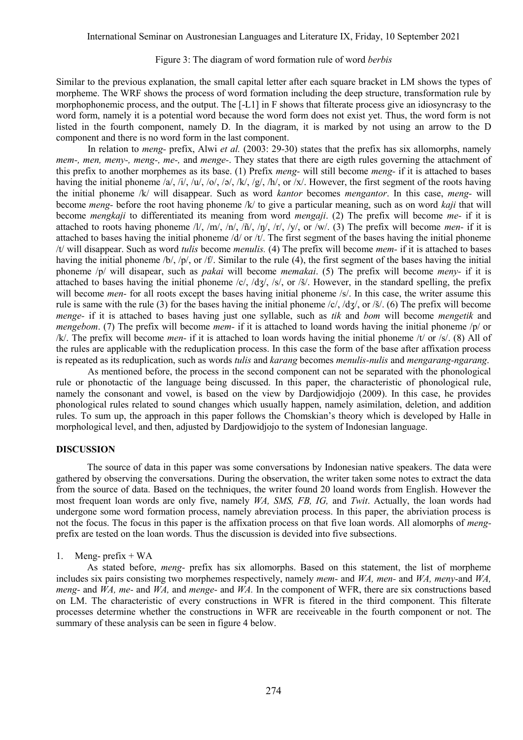#### Figure 3: The diagram of word formation rule of word *berbis*

Similar to the previous explanation, the small capital letter after each square bracket in LM shows the types of morpheme. The WRF shows the process of word formation including the deep structure, transformation rule by morphophonemic process, and the output. The [-L1] in F shows that filterate process give an idiosyncrasy to the word form, namely it is a potential word because the word form does not exist yet. Thus, the word form is not listed in the fourth component, namely D. In the diagram, it is marked by not using an arrow to the D component and there is no word form in the last component.

In relation to *meng-* prefix, Alwi *et al.* (2003: 29-30) states that the prefix has six allomorphs, namely *mem-, men, meny-, meng-, me-,* and *menge-*. They states that there are eigth rules governing the attachment of this prefix to another morphemes as its base. (1) Prefix *meng-* will still become *meng-* if it is attached to bases having the initial phoneme /a/, /j/, /u/, /o/, /ə/, /k/, /g/, /h/, or /x/. However, the first segment of the roots having the initial phoneme /k/ will disappear. Such as word *kantor* becomes *mengantor*. In this case, *meng-* will become *meng-* before the root having phoneme /k/ to give a particular meaning, such as on word *kaji* that will become *mengkaji* to differentiated its meaning from word *mengaji*. (2) The prefix will become *me-* if it is attached to roots having phoneme /l/, /m/, /n/, /ñ/, /ŋ/, /r/, /y/, or /w/. (3) The prefix will become *men-* if it is attached to bases having the initial phoneme  $\frac{d}{dv}$  or  $\frac{dv}{dv}$ . The first segment of the bases having the initial phoneme /t/ will disappear. Such as word *tulis* become *menulis.* (4) The prefix will become *mem-* if it is attached to bases having the initial phoneme /b/, /p/, or /f/. Similar to the rule (4), the first segment of the bases having the initial phoneme /p/ will disapear, such as *pakai* will become *memakai*. (5) The prefix will become *meny-* if it is attached to bases having the initial phoneme /c/, /dʒ/, /s/, or /š/. However, in the standard spelling, the prefix will become *men*-for all roots except the bases having initial phoneme /s/. In this case, the writer assume this rule is same with the rule (3) for the bases having the initial phoneme /c/, /dʒ/, or /š/. (6) The prefix will become *menge-* if it is attached to bases having just one syllable, such as *tik* and *bom* will become *mengetik* and *mengebom*. (7) The prefix will become *mem-* if it is attached to loand words having the initial phoneme /p/ or /k/. The prefix will become *men-* if it is attached to loan words having the initial phoneme /t/ or /s/. (8) All of the rules are applicable with the reduplication process. In this case the form of the base after affixation process is repeated as its reduplication, such as words *tulis* and *karang* becomes *menulis-nulis* and *mengarang-ngarang*.

As mentioned before, the process in the second component can not be separated with the phonological rule or phonotactic of the language being discussed. In this paper, the characteristic of phonological rule, namely the consonant and vowel, is based on the view by Dardjowidjojo (2009). In this case, he provides phonological rules related to sound changes which usually happen, namely asimilation, deletion, and addition rules. To sum up, the approach in this paper follows the Chomskian's theory which is developed by Halle in morphological level, and then, adjusted by Dardjowidjojo to the system of Indonesian language.

### **DISCUSSION**

The source of data in this paper was some conversations by Indonesian native speakers. The data were gathered by observing the conversations. During the observation, the writer taken some notes to extract the data from the source of data. Based on the techniques, the writer found 20 loand words from English. However the most frequent loan words are only five, namely *WA, SMS, FB, IG,* and *Twit*. Actually, the loan words had undergone some word formation process, namely abreviation process. In this paper, the abriviation process is not the focus. The focus in this paper is the affixation process on that five loan words. All alomorphs of *meng*prefix are tested on the loan words. Thus the discussion is devided into five subsections.

#### 1. Meng- prefix  $+ WA$

As stated before, *meng-* prefix has six allomorphs. Based on this statement, the list of morpheme includes six pairs consisting two morphemes respectively, namely *mem-* and *WA, men-* and *WA, meny-*and *WA, meng-* and *WA, me-* and *WA,* and *menge-* and *WA.* In the component of WFR, there are six constructions based on LM. The characteristic of every constructions in WFR is fitered in the third component. This filterate processes determine whether the constructions in WFR are receiveable in the fourth component or not. The summary of these analysis can be seen in figure 4 below.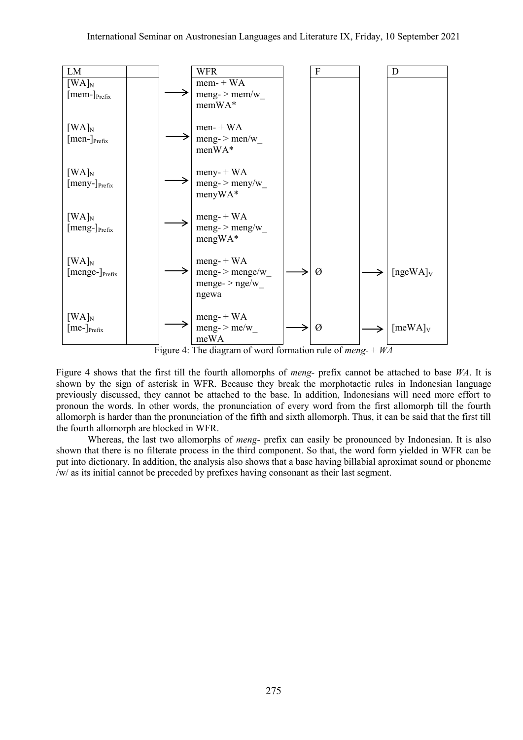

Figure 4: The diagram of word formation rule of *meng-* + *WA*

Figure 4 shows that the first till the fourth allomorphs of *meng-* prefix cannot be attached to base *WA*. It is shown by the sign of asterisk in WFR. Because they break the morphotactic rules in Indonesian language previously discussed, they cannot be attached to the base. In addition, Indonesians will need more effort to pronoun the words. In other words, the pronunciation of every word from the first allomorph till the fourth allomorph is harder than the pronunciation of the fifth and sixth allomorph. Thus, it can be said that the first till the fourth allomorph are blocked in WFR.

Whereas, the last two allomorphs of *meng-* prefix can easily be pronounced by Indonesian. It is also shown that there is no filterate process in the third component. So that, the word form yielded in WFR can be put into dictionary. In addition, the analysis also shows that a base having billabial aproximat sound or phoneme /w/ as its initial cannot be preceded by prefixes having consonant as their last segment.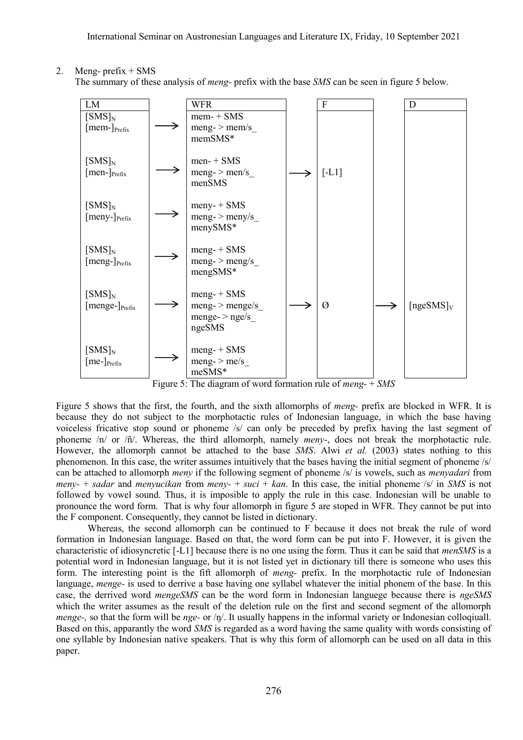2. Meng- prefix  $+$  SMS

The summary of these analysis of *meng-* prefix with the base *SMS* can be seen in figure 5 below.



Figure 5: The diagram of word formation rule of *meng-* + *SMS*

Figure 5 shows that the first, the fourth, and the sixth allomorphs of *meng-* prefix are blocked in WFR. It is because they do not subject to the morphotactic rules of Indonesian language, in which the base having voiceless fricative stop sound or phoneme /s/ can only be preceded by prefix having the last segment of phoneme /n/ or /ñ/. Whereas, the third allomorph, namely *meny*-, does not break the morphotactic rule. However, the allomorph cannot be attached to the base *SMS*. Alwi *et al.* (2003) states nothing to this phenomenon. In this case, the writer assumes intuitively that the bases having the initial segment of phoneme /s/ can be attached to allomorph *meny* if the following segment of phoneme /s/ is vowels, such as *menyadari* from *meny-* + *sadar* and *menyucikan* from *meny-* + *suci* + *kan*. In this case, the initial phoneme /s/ in *SMS* is not followed by vowel sound. Thus, it is imposible to apply the rule in this case. Indonesian will be unable to pronounce the word form. That is why four allomorph in figure 5 are stoped in WFR. They cannot be put into the F component. Consequently, they cannot be listed in dictionary.

Whereas, the second allomorph can be continued to F because it does not break the rule of word formation in Indonesian language. Based on that, the word form can be put into F. However, it is given the characteristic of idiosyncretic [-L1] because there is no one using the form. Thus it can be said that *menSMS* is a potential word in Indonesian language, but it is not listed yet in dictionary till there is someone who uses this form. The interesting point is the fift allomorph of *meng-* prefix. In the morphotactic rule of Indonesian language, *menge-* is used to derrive a base having one syllabel whatever the initial phonem of the base. In this case, the derrived word *mengeSMS* can be the word form in Indonesian languege because there is *ngeSMS* which the writer assumes as the result of the deletion rule on the first and second segment of the allomorph *menge-,* so that the form will be *nge-* or /ŋ/. It usually happens in the informal variety or Indonesian colloqiuall. Based on this, apparantly the word *SMS* is regarded as a word having the same quality with words consisting of one syllable by Indonesian native speakers. That is why this form of allomorph can be used on all data in this paper.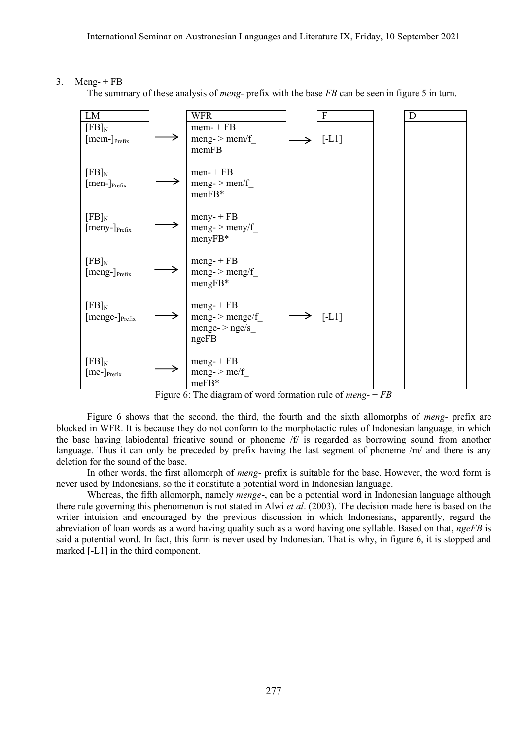## 3. Meng-  $+$  FB

The summary of these analysis of *meng-* prefix with the base *FB* can be seen in figure 5 in turn.



Figure 6: The diagram of word formation rule of *meng-* + *FB*

Figure 6 shows that the second, the third, the fourth and the sixth allomorphs of *meng-* prefix are blocked in WFR. It is because they do not conform to the morphotactic rules of Indonesian language, in which the base having labiodental fricative sound or phoneme /f/ is regarded as borrowing sound from another language. Thus it can only be preceded by prefix having the last segment of phoneme /m/ and there is any deletion for the sound of the base.

In other words, the first allomorph of *meng-* prefix is suitable for the base. However, the word form is never used by Indonesians, so the it constitute a potential word in Indonesian language.

Whereas, the fifth allomorph, namely *menge*-, can be a potential word in Indonesian language although there rule governing this phenomenon is not stated in Alwi *et al*. (2003). The decision made here is based on the writer intuision and encouraged by the previous discussion in which Indonesians, apparently, regard the abreviation of loan words as a word having quality such as a word having one syllable. Based on that, *ngeFB* is said a potential word. In fact, this form is never used by Indonesian. That is why, in figure 6, it is stopped and marked [-L1] in the third component.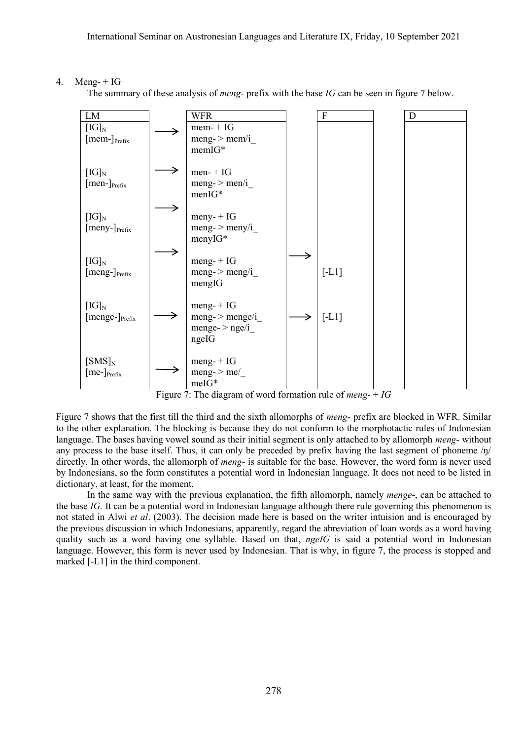## 4. Meng-  $+ IG$

The summary of these analysis of *meng-* prefix with the base *IG* can be seen in figure 7 below.



Figure 7: The diagram of word formation rule of *meng-* + *IG*

Figure 7 shows that the first till the third and the sixth allomorphs of *meng-* prefix are blocked in WFR. Similar to the other explanation. The blocking is because they do not conform to the morphotactic rules of Indonesian language. The bases having vowel sound as their initial segment is only attached to by allomorph *meng-* without any process to the base itself. Thus, it can only be preceded by prefix having the last segment of phoneme  $/\eta$ directly. In other words, the allomorph of *meng-* is suitable for the base. However, the word form is never used by Indonesians, so the form constitutes a potential word in Indonesian language. It does not need to be listed in dictionary, at least, for the moment.

In the same way with the previous explanation, the fifth allomorph, namely *menge*-, can be attached to the base *IG.* It can be a potential word in Indonesian language although there rule governing this phenomenon is not stated in Alwi *et al*. (2003). The decision made here is based on the writer intuision and is encouraged by the previous discussion in which Indonesians, apparently, regard the abreviation of loan words as a word having quality such as a word having one syllable. Based on that, *ngeIG* is said a potential word in Indonesian language. However, this form is never used by Indonesian. That is why, in figure 7, the process is stopped and marked [-L1] in the third component.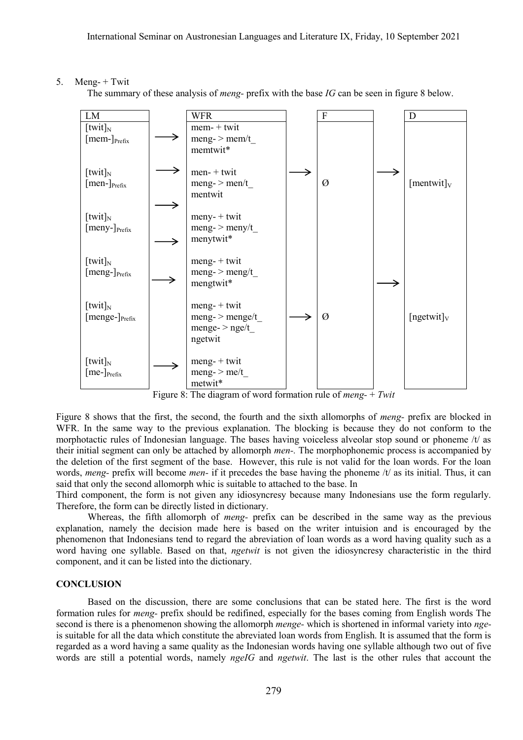## 5. Meng-  $+$  Twit

The summary of these analysis of *meng-* prefix with the base *IG* can be seen in figure 8 below.



Figure 8: The diagram of word formation rule of *meng-* + *Twit*

Figure 8 shows that the first, the second, the fourth and the sixth allomorphs of *meng-* prefix are blocked in WFR. In the same way to the previous explanation. The blocking is because they do not conform to the morphotactic rules of Indonesian language. The bases having voiceless alveolar stop sound or phoneme /t/ as their initial segment can only be attached by allomorph *men-.* The morphophonemic process is accompanied by the deletion of the first segment of the base. However, this rule is not valid for the loan words. For the loan words, *meng-* prefix will become *men-* if it precedes the base having the phoneme /t/ as its initial. Thus, it can said that only the second allomorph whic is suitable to attached to the base. In

Third component, the form is not given any idiosyncresy because many Indonesians use the form regularly. Therefore, the form can be directly listed in dictionary.

Whereas, the fifth allomorph of *meng-* prefix can be described in the same way as the previous explanation, namely the decision made here is based on the writer intuision and is encouraged by the phenomenon that Indonesians tend to regard the abreviation of loan words as a word having quality such as a word having one syllable. Based on that, *ngetwit* is not given the idiosyncresy characteristic in the third component, and it can be listed into the dictionary.

## **CONCLUSION**

Based on the discussion, there are some conclusions that can be stated here. The first is the word formation rules for *meng-* prefix should be redifined, especially for the bases coming from English words The second is there is a phenomenon showing the allomorph *menge-* which is shortened in informal variety into *nge*is suitable for all the data which constitute the abreviated loan words from English. It is assumed that the form is regarded as a word having a same quality as the Indonesian words having one syllable although two out of five words are still a potential words, namely *ngeIG* and *ngetwit*. The last is the other rules that account the